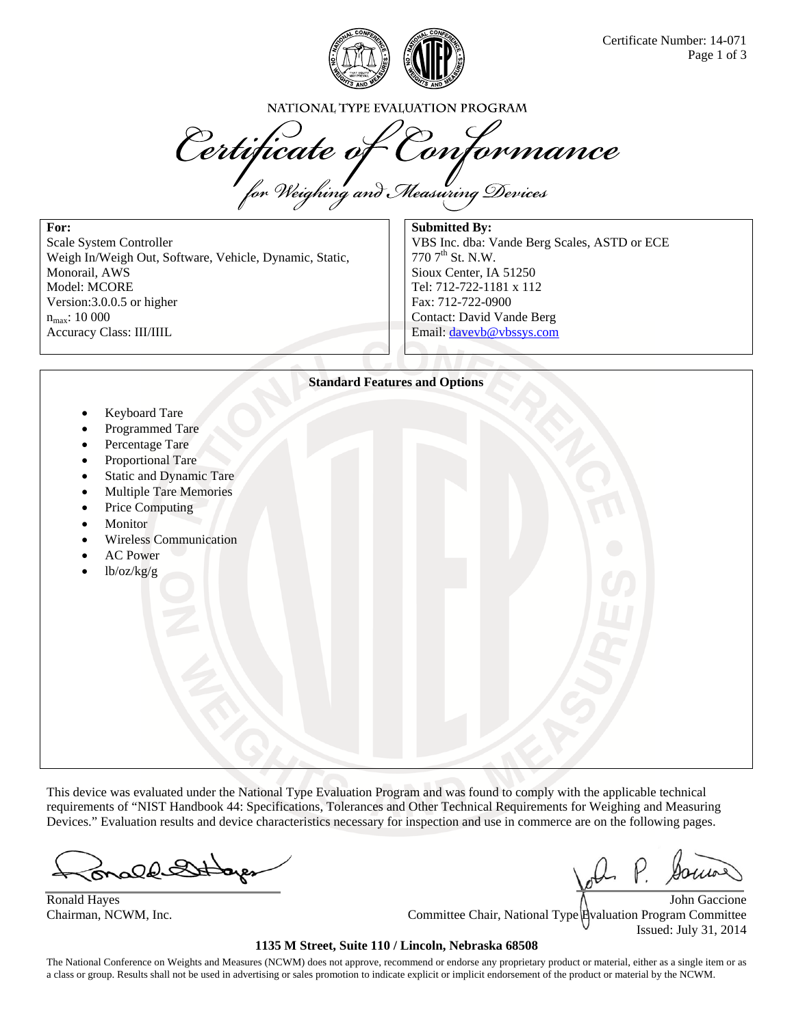

NATIONAL TYPE EVALUATION PROGRAM

Certificate of Conformance

**For:**  Scale System Controller Weigh In/Weigh Out, Software, Vehicle, Dynamic, Static, Monorail, AWS Model: MCORE Version:3.0.0.5 or higher  $n_{max}: 10000$ Accuracy Class: III/IIIL

**Submitted By:**  VBS Inc. dba: Vande Berg Scales, ASTD or ECE 770 7th St. N.W. Sioux Center, IA 51250 Tel: 712-722-1181 x 112 Fax: 712-722-0900 Contact: David Vande Berg Email: davevb@vbssys.com



This device was evaluated under the National Type Evaluation Program and was found to comply with the applicable technical requirements of "NIST Handbook 44: Specifications, Tolerances and Other Technical Requirements for Weighing and Measuring Devices." Evaluation results and device characteristics necessary for inspection and use in commerce are on the following pages.

ald

Ronald Hayes  $\bigwedge$  John Gaccione Chairman, NCWM, Inc. Committee Chair, National Type Evaluation Program Committee Issued: July 31, 2014

## **1135 M Street, Suite 110 / Lincoln, Nebraska 68508**

The National Conference on Weights and Measures (NCWM) does not approve, recommend or endorse any proprietary product or material, either as a single item or as a class or group. Results shall not be used in advertising or sales promotion to indicate explicit or implicit endorsement of the product or material by the NCWM.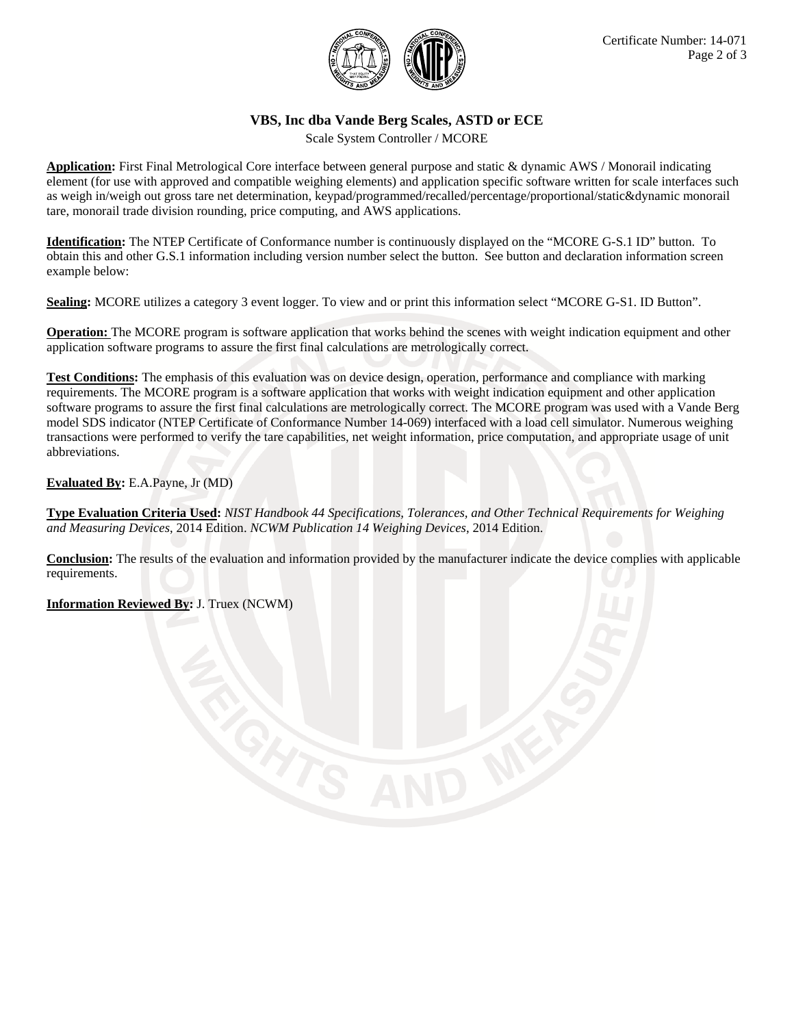

## **VBS, Inc dba Vande Berg Scales, ASTD or ECE**

Scale System Controller / MCORE

**Application:** First Final Metrological Core interface between general purpose and static & dynamic AWS / Monorail indicating element (for use with approved and compatible weighing elements) and application specific software written for scale interfaces such as weigh in/weigh out gross tare net determination, keypad/programmed/recalled/percentage/proportional/static&dynamic monorail tare, monorail trade division rounding, price computing, and AWS applications.

**Identification:** The NTEP Certificate of Conformance number is continuously displayed on the "MCORE G-S.1 ID" button. To obtain this and other G.S.1 information including version number select the button. See button and declaration information screen example below:

**Sealing:** MCORE utilizes a category 3 event logger. To view and or print this information select "MCORE G-S1. ID Button".

**Operation:** The MCORE program is software application that works behind the scenes with weight indication equipment and other application software programs to assure the first final calculations are metrologically correct.

**Test Conditions:** The emphasis of this evaluation was on device design, operation, performance and compliance with marking requirements. The MCORE program is a software application that works with weight indication equipment and other application software programs to assure the first final calculations are metrologically correct. The MCORE program was used with a Vande Berg model SDS indicator (NTEP Certificate of Conformance Number 14-069) interfaced with a load cell simulator. Numerous weighing transactions were performed to verify the tare capabilities, net weight information, price computation, and appropriate usage of unit abbreviations.

**Evaluated By:** E.A.Payne, Jr (MD)

**Type Evaluation Criteria Used:** *NIST Handbook 44 Specifications, Tolerances, and Other Technical Requirements for Weighing and Measuring Devices*, 2014 Edition. *NCWM Publication 14 Weighing Devices*, 2014 Edition.

**Conclusion:** The results of the evaluation and information provided by the manufacturer indicate the device complies with applicable requirements.

**Information Reviewed By:** J. Truex (NCWM)